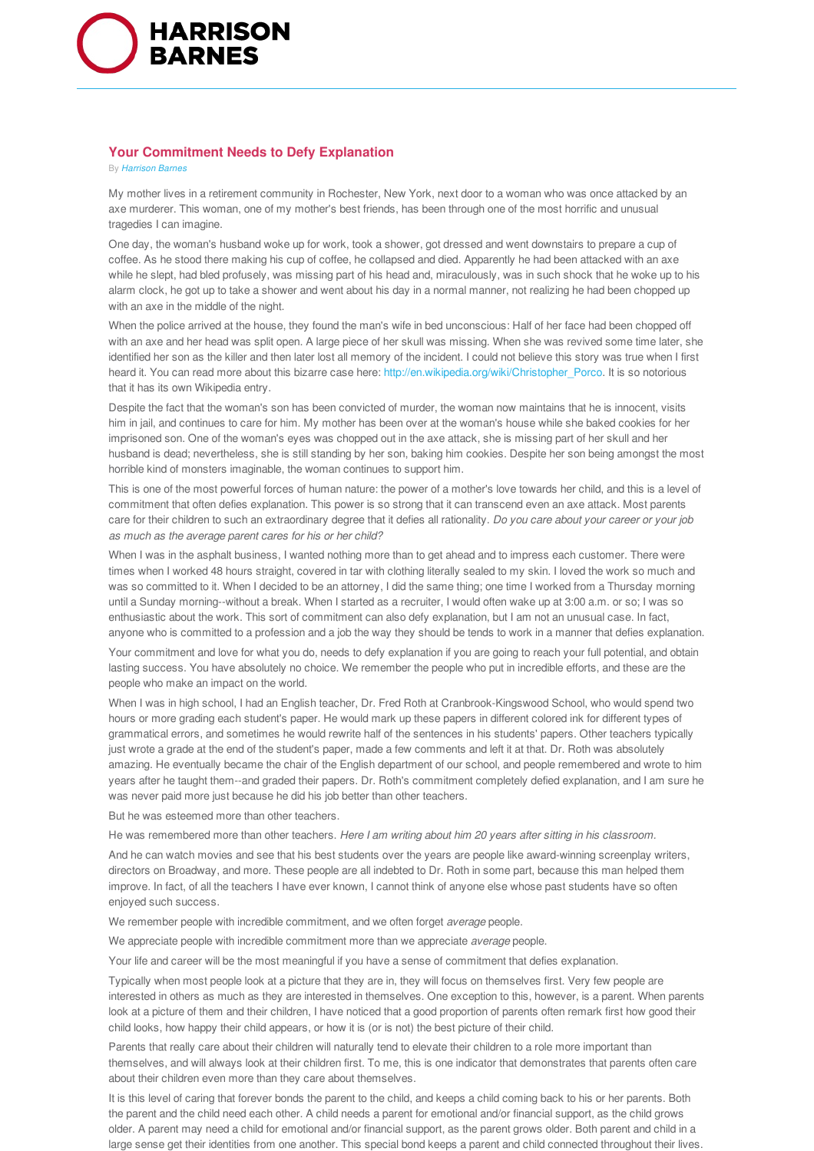

## **Your Commitment Needs to Defy Explanation**

By *Harrison Barnes*

My mother lives in a retirement community in Rochester, New York, next door to a woman who was once attacked by an axe murderer. This woman, one of my mother's best friends, has been through one of the most horrific and unusual tragedies I can imagine.

One day, the woman's husband woke up for work, took a shower, got dressed and went downstairs to prepare a cup of coffee. As he stood there making his cup of coffee, he collapsed and died. Apparently he had been attacked with an axe while he slept, had bled profusely, was missing part of his head and, miraculously, was in such shock that he woke up to his alarm clock, he got up to take a shower and went about his day in a normal manner, not realizing he had been chopped up with an axe in the middle of the night.

When the police arrived at the house, they found the man's wife in bed unconscious: Half of her face had been chopped off with an axe and her head was split open. A large piece of her skull was missing. When she was revived some time later, she identified her son as the killer and then later lost all memory of the incident. I could not believe this story was true when I first heard it. You can read more about this bizarre case here: http://en.wikipedia.org/wiki/Christopher\_Porco. It is so notorious that it has its own Wikipedia entry.

Despite the fact that the woman's son has been convicted of murder, the woman now maintains that he is innocent, visits him in jail, and continues to care for him. My mother has been over at the woman's house while she baked cookies for her imprisoned son. One of the woman's eyes was chopped out in the axe attack, she is missing part of her skull and her husband is dead; nevertheless, she is still standing by her son, baking him cookies. Despite her son being amongst the most horrible kind of monsters imaginable, the woman continues to support him.

This is one of the most powerful forces of human nature: the power of a mother's love towards her child, and this is a level of commitment that often defies explanation. This power is so strong that it can transcend even an axe attack. Most parents care for their children to such an extraordinary degree that it defies all rationality. *Do you care about your career or your job as much as the average parent cares for his or her child?*

When I was in the asphalt business, I wanted nothing more than to get ahead and to impress each customer. There were times when I worked 48 hours straight, covered in tar with clothing literally sealed to my skin. I loved the work so much and was so committed to it. When I decided to be an attorney, I did the same thing; one time I worked from a Thursday morning until a Sunday morning--without a break. When I started as a recruiter, I would often wake up at 3:00 a.m. or so; I was so enthusiastic about the work. This sort of commitment can also defy explanation, but I am not an unusual case. In fact, anyone who is committed to a profession and a job the way they should be tends to work in a manner that defies explanation.

Your commitment and love for what you do, needs to defy explanation if you are going to reach your full potential, and obtain lasting success. You have absolutely no choice. We remember the people who put in incredible efforts, and these are the people who make an impact on the world.

When I was in high school, I had an English teacher, Dr. Fred Roth at Cranbrook-Kingswood School, who would spend two hours or more grading each student's paper. He would mark up these papers in different colored ink for different types of grammatical errors, and sometimes he would rewrite half of the sentences in his students' papers. Other teachers typically just wrote a grade at the end of the student's paper, made a few comments and left it at that. Dr. Roth was absolutely amazing. He eventually became the chair of the English department of our school, and people remembered and wrote to him years after he taught them--and graded their papers. Dr. Roth's commitment completely defied explanation, and I am sure he was never paid more just because he did his job better than other teachers.

But he was esteemed more than other teachers.

He was remembered more than other teachers. *Here I am writing about him 20 years after sitting in his classroom.*

And he can watch movies and see that his best students over the years are people like award-winning screenplay writers, directors on Broadway, and more. These people are all indebted to Dr. Roth in some part, because this man helped them improve. In fact, of all the teachers I have ever known, I cannot think of anyone else whose past students have so often enjoyed such success.

We remember people with incredible commitment, and we often forget *average* people.

We appreciate people with incredible commitment more than we appreciate *average* people.

Your life and career will be the most meaningful if you have a sense of commitment that defies explanation.

Typically when most people look at a picture that they are in, they will focus on themselves first. Very few people are interested in others as much as they are interested in themselves. One exception to this, however, is a parent. When parents look at a picture of them and their children, I have noticed that a good proportion of parents often remark first how good their child looks, how happy their child appears, or how it is (or is not) the best picture of their child.

Parents that really care about their children will naturally tend to elevate their children to a role more important than themselves, and will always look at their children first. To me, this is one indicator that demonstrates that parents often care about their children even more than they care about themselves.

It is this level of caring that forever bonds the parent to the child, and keeps a child coming back to his or her parents. Both the parent and the child need each other. A child needs a parent for emotional and/or financial support, as the child grows older. A parent may need a child for emotional and/or financial support, as the parent grows older. Both parent and child in a large sense get their identities from one another. This special bond keeps a parent and child connected throughout their lives.